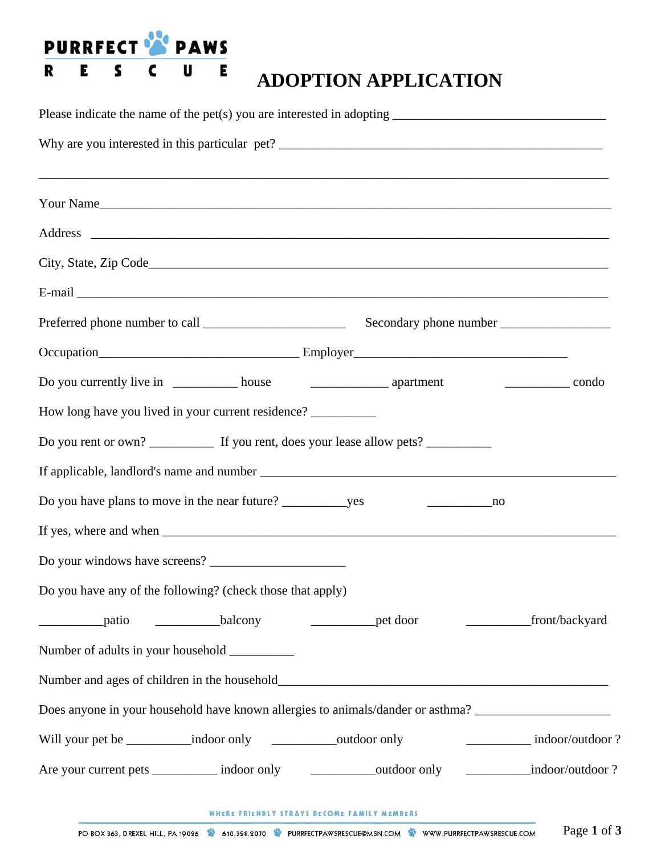

## **ADOPTION APPLICATION**

| Your Name                                                                                                 |
|-----------------------------------------------------------------------------------------------------------|
|                                                                                                           |
|                                                                                                           |
|                                                                                                           |
|                                                                                                           |
|                                                                                                           |
|                                                                                                           |
| How long have you lived in your current residence? __________                                             |
|                                                                                                           |
|                                                                                                           |
| $\overline{\phantom{a}}$ no                                                                               |
|                                                                                                           |
|                                                                                                           |
| Do you have any of the following? (check those that apply)                                                |
| front/backyard<br><u>example</u> and patio and pations balcony<br><u>example</u> the door                 |
| Number of adults in your household                                                                        |
|                                                                                                           |
| Does anyone in your household have known allergies to animals/dander or asthma? ____________________      |
| Will your pet be _____________indoor only ______________outdoor only<br>indoor/outdoor?                   |
| _____________indoor/outdoor?<br>Are your current pets ___________ indoor only _______________outdoor only |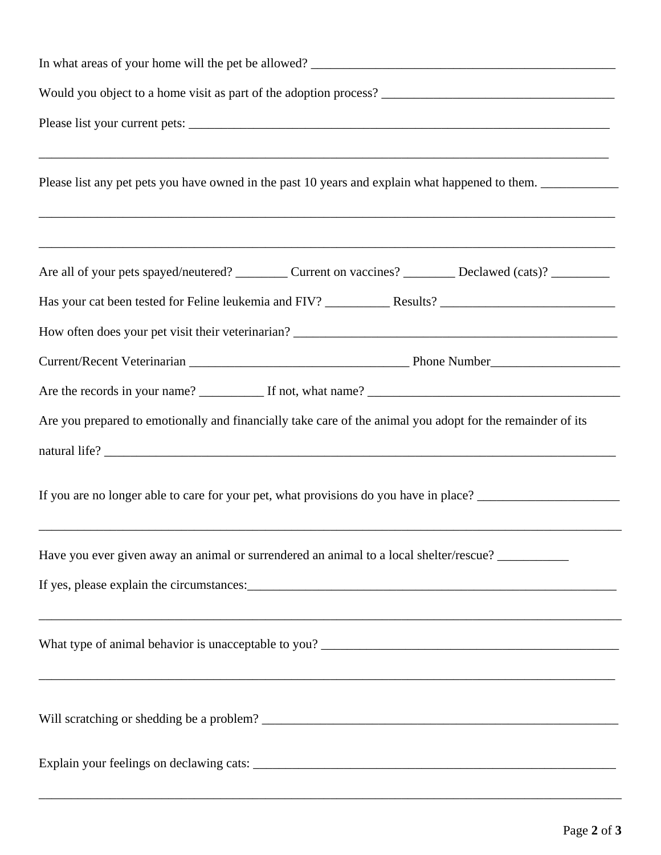| Would you object to a home visit as part of the adoption process? __________________________________         |  |  |
|--------------------------------------------------------------------------------------------------------------|--|--|
|                                                                                                              |  |  |
| Please list any pet pets you have owned in the past 10 years and explain what happened to them.              |  |  |
| Are all of your pets spayed/neutered? __________ Current on vaccines? __________ Declawed (cats)? __________ |  |  |
|                                                                                                              |  |  |
|                                                                                                              |  |  |
|                                                                                                              |  |  |
|                                                                                                              |  |  |
| Are you prepared to emotionally and financially take care of the animal you adopt for the remainder of its   |  |  |
|                                                                                                              |  |  |
| If you are no longer able to care for your pet, what provisions do you have in place?                        |  |  |
| Have you ever given away an animal or surrendered an animal to a local shelter/rescue?                       |  |  |
|                                                                                                              |  |  |
|                                                                                                              |  |  |
|                                                                                                              |  |  |
|                                                                                                              |  |  |

\_\_\_\_\_\_\_\_\_\_\_\_\_\_\_\_\_\_\_\_\_\_\_\_\_\_\_\_\_\_\_\_\_\_\_\_\_\_\_\_\_\_\_\_\_\_\_\_\_\_\_\_\_\_\_\_\_\_\_\_\_\_\_\_\_\_\_\_\_\_\_\_\_\_\_\_\_\_\_\_\_\_\_\_\_\_\_\_\_\_